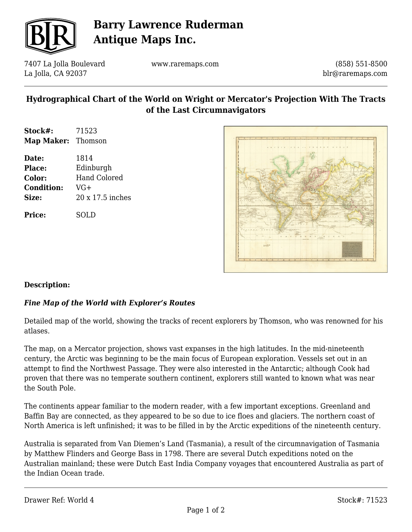

# **Barry Lawrence Ruderman Antique Maps Inc.**

7407 La Jolla Boulevard La Jolla, CA 92037

www.raremaps.com

(858) 551-8500 blr@raremaps.com

### **Hydrographical Chart of the World on Wright or Mercator's Projection With The Tracts of the Last Circumnavigators**

- **Stock#:** 71523 **Map Maker:** Thomson
- **Date:** 1814 **Place:** Edinburgh **Color:** Hand Colored **Condition:** VG+ **Size:** 20 x 17.5 inches

**Price:** SOLD



#### **Description:**

#### *Fine Map of the World with Explorer's Routes*

Detailed map of the world, showing the tracks of recent explorers by Thomson, who was renowned for his atlases.

The map, on a Mercator projection, shows vast expanses in the high latitudes. In the mid-nineteenth century, the Arctic was beginning to be the main focus of European exploration. Vessels set out in an attempt to find the Northwest Passage. They were also interested in the Antarctic; although Cook had proven that there was no temperate southern continent, explorers still wanted to known what was near the South Pole.

The continents appear familiar to the modern reader, with a few important exceptions. Greenland and Baffin Bay are connected, as they appeared to be so due to ice floes and glaciers. The northern coast of North America is left unfinished; it was to be filled in by the Arctic expeditions of the nineteenth century.

Australia is separated from Van Diemen's Land (Tasmania), a result of the circumnavigation of Tasmania by Matthew Flinders and George Bass in 1798. There are several Dutch expeditions noted on the Australian mainland; these were Dutch East India Company voyages that encountered Australia as part of the Indian Ocean trade.